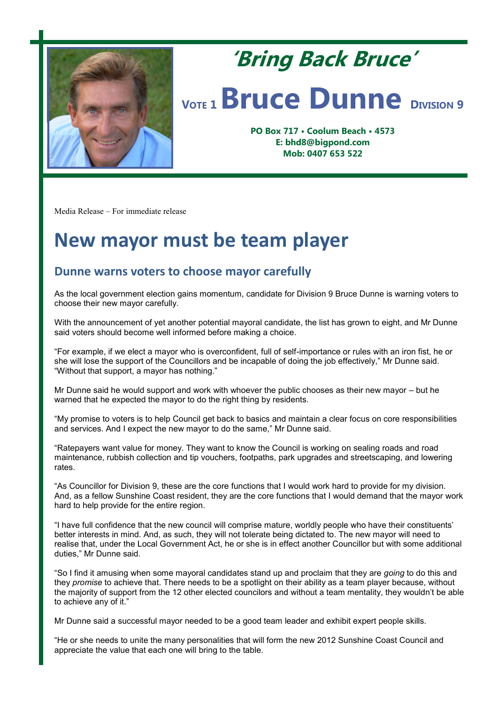

## **'Bring Back Bruce' <sup>V</sup>OTE <sup>1</sup>Bruce Dunne <sup>D</sup>IVISION <sup>9</sup>**

**PO Box 717 • Coolum Beach • 4573 E: bhd8@bigpond.com Mob: 0407 653 522**

Media Release – For immediate release

## **New mayor must be team player**

## **Dunne warns voters to choose mayor carefully**

As the local government election gains momentum, candidate for Division 9 Bruce Dunne is warning voters to choose their new mayor carefully.

With the announcement of yet another potential mayoral candidate, the list has grown to eight, and Mr Dunne said voters should become well informed before making a choice.

"For example, if we elect a mayor who is overconfident, full of self-importance or rules with an iron fist, he or she will lose the support of the Councillors and be incapable of doing the job effectively," Mr Dunne said. "Without that support, a mayor has nothing."

Mr Dunne said he would support and work with whoever the public chooses as their new mayor – but he warned that he expected the mayor to do the right thing by residents.

"My promise to voters is to help Council get back to basics and maintain a clear focus on core responsibilities and services. And I expect the new mayor to do the same," Mr Dunne said.

"Ratepayers want value for money. They want to know the Council is working on sealing roads and road maintenance, rubbish collection and tip vouchers, footpaths, park upgrades and streetscaping, and lowering rates.

"As Councillor for Division 9, these are the core functions that I would work hard to provide for my division. And, as a fellow Sunshine Coast resident, they are the core functions that I would demand that the mayor work hard to help provide for the entire region.

"I have full confidence that the new council will comprise mature, worldly people who have their constituents' better interests in mind. And, as such, they will not tolerate being dictated to. The new mayor will need to realise that, under the Local Government Act, he or she is in effect another Councillor but with some additional duties," Mr Dunne said.

"So I find it amusing when some mayoral candidates stand up and proclaim that they are *going* to do this and they *promise* to achieve that. There needs to be a spotlight on their ability as a team player because, without the majority of support from the 12 other elected councilors and without a team mentality, they wouldn't be able to achieve any of it."

Mr Dunne said a successful mayor needed to be a good team leader and exhibit expert people skills.

"He or she needs to unite the many personalities that will form the new 2012 Sunshine Coast Council and appreciate the value that each one will bring to the table.